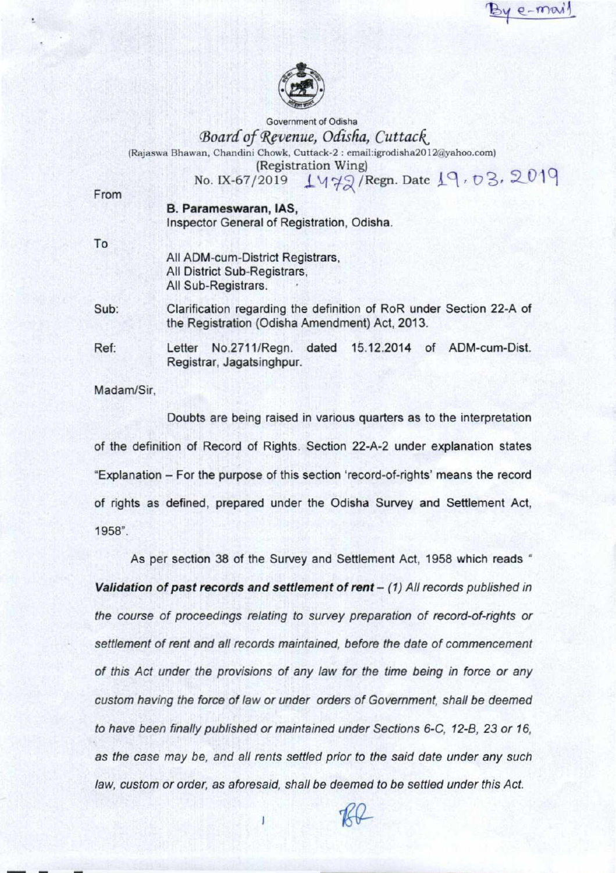$e - m\omega$ 



Government of Odisha *Board of Revenue, Odisha, Cuttack*  (Rajaswa Bhawan, Chandini Chowk, Cuttack-2 : emaiLigrodisha2012(ayahoo.com) (Registration Wing)

No. IX-67/2019  $\frac{1}{4}$ ( $\frac{7}{2}$ /Regn. Date  $19, 03, 2019$ 

From

**B.** Parameswaran, IAS,

Inspector General of Registration, Odisha.

To

All ADM-cum-District Registrars, All District Sub-Registrars, All Sub-Registrars.

Sub: Clarification regarding the definition of RoR under Section 22-A of the Registration (Odisha Amendment) Act, 2013.

Ref: Letter No.2711/Regn. dated 15.12.2014 of ADM-cum-Dist. Registrar, Jagatsinghpur.

Madam/Sir.

Doubts are being raised in various quarters as to the interpretation of the definition of Record of Rights. Section 22-A-2 under explanation states "Explanation — For the purpose of this section 'record-of-rights' means the record of rights as defined, prepared under the Odisha Survey and Settlement Act, 1958".

As per section 38 of the Survey and Settlement Act, 1958 which reads " **Validation of past records and settlement of rent** – (1) All records published in the course of proceedings relating to survey preparation of record-of-rights or settlement of rent and all records maintained, before the date of commencement of this Act under the provisions of any law for the time being in force or any custom having the force of law or under orders of Government, shall be deemed to have been finally published or maintained under Sections 6-C. 12-B, 23 or 16, as the case may be, and all rents settled prior to the said date under any such law, custom or order, as aforesaid. shall be deemed to be settled under this Act.

7K-